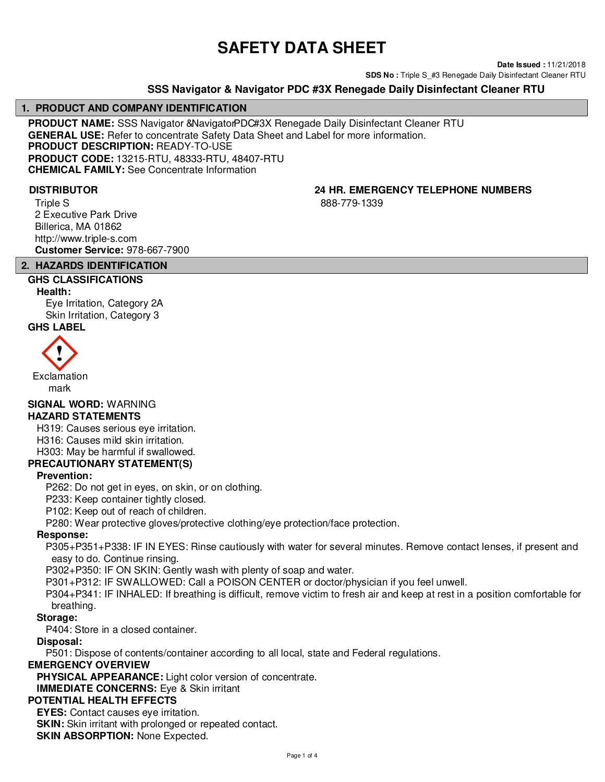# **SAFETY DATA SHEET**

**Date Issued :** 11/21/2018

**SDS No : Triple S** #3 Renegade Daily Disinfectant Cleaner RTU

## **SSS Navigator & Navigator PDC #3X Renegade Daily Disinfectant Cleaner RTU**

#### **1. PRODUCT AND COMPANY IDENTIFICATION**

**PRODUCT NAME:** SSS Navigator &NavigatorPDC#3X Renegade Daily Disinfectant Cleaner RTU **GENERAL USE:** Refer to concentrate Safety Data Sheet and Label for more information. **PRODUCT DESCRIPTION:** READY-TO-USE **PRODUCT CODE:** 13215-RTU, 48333-RTU, 48407-RTU **CHEMICAL FAMILY:** See Concentrate Information

Triple S 2 Executive Park Drive Billerica, MA 01862 http://www.triple-s.com **Customer Service:** 978-667-7900

# **DISTRIBUTOR 24 HR. EMERGENCY TELEPHONE NUMBERS**

888-779-1339

# **2. HAZARDS IDENTIFICATION**

# **GHS CLASSIFICATIONS**

#### **Health:**

Eye Irritation, Category 2A Skin Irritation, Category 3 **GHS LABEL**



Exclamation mark

**SIGNAL WORD:** WARNING

#### **HAZARD STATEMENTS**

H319: Causes serious eye irritation.

H316: Causes mild skin irritation.

H303: May be harmful if swallowed.

#### **PRECAUTIONARY STATEMENT(S)**

#### **Prevention:**

P262: Do not get in eyes, on skin, or on clothing.

P233: Keep container tightly closed.

P102: Keep out of reach of children.

P280: Wear protective gloves/protective clothing/eye protection/face protection.

#### **Response:**

P305+P351+P338: IF IN EYES: Rinse cautiously with water for several minutes. Remove contact lenses, if present and easy to do. Continue rinsing.

P302+P350: IF ON SKIN: Gently wash with plenty of soap and water.

P301+P312: IF SWALLOWED: Call a POISON CENTER or doctor/physician if you feel unwell.

P304+P341: IF INHALED: If breathing is difficult, remove victim to fresh air and keep at rest in a position comfortable for breathing.

#### **Storage:**

P404: Store in a closed container.

#### **Disposal:**

P501: Dispose of contents/container according to all local, state and Federal regulations.

#### **EMERGENCY OVERVIEW**

**PHYSICAL APPEARANCE:** Light color version of concentrate.

**IMMEDIATE CONCERNS:** Eye & Skin irritant

# **POTENTIAL HEALTH EFFECTS**

**EYES:** Contact causes eye irritation.

**SKIN:** Skin irritant with prolonged or repeated contact.

**SKIN ABSORPTION: None Expected.**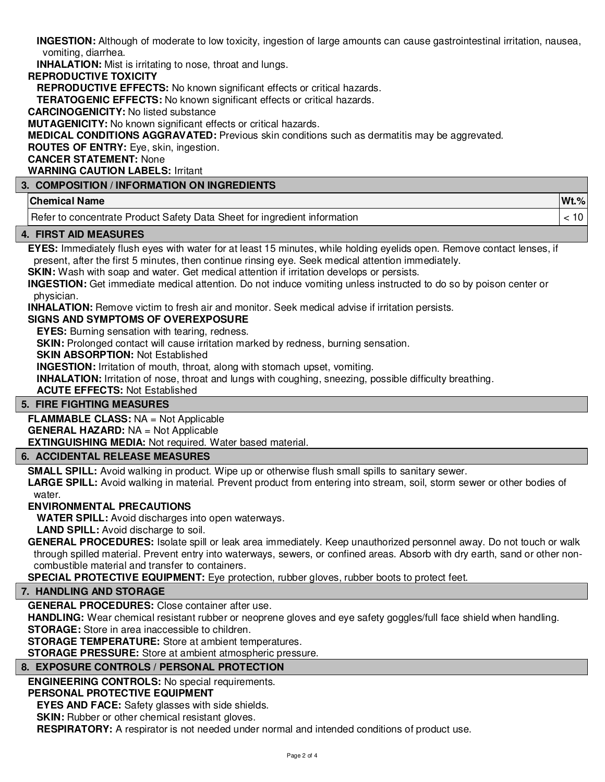**INGESTION:** Although of moderate to low toxicity, ingestion of large amounts can cause gastrointestinal irritation, nausea, vomiting, diarrhea.

**INHALATION:** Mist is irritating to nose, throat and lungs.

#### **REPRODUCTIVE TOXICITY**

**REPRODUCTIVE EFFECTS:** No known significant effects or critical hazards.

**TERATOGENIC EFFECTS:** No known significant effects or critical hazards.

**CARCINOGENICITY:** No listed substance

**MUTAGENICITY:** No known significant effects or critical hazards.

**MEDICAL CONDITIONS AGGRAVATED:** Previous skin conditions such as dermatitis may be aggrevated.

**ROUTES OF ENTRY:** Eye, skin, ingestion.

**CANCER STATEMENT:** None

**WARNING CAUTION LABELS:** Irritant

#### **3. COMPOSITION / INFORMATION ON INGREDIENTS**

#### **Chemical Name Wt.%**

Refer to concentrate Product Safety Data Sheet for ingredient information < 10

#### **4. FIRST AID MEASURES**

**EYES:** Immediately flush eyes with water for at least 15 minutes, while holding eyelids open. Remove contact lenses, if present, after the first 5 minutes, then continue rinsing eye. Seek medical attention immediately.

**SKIN:** Wash with soap and water. Get medical attention if irritation develops or persists.

**INGESTION:** Get immediate medical attention. Do not induce vomiting unless instructed to do so by poison center or physician.

**INHALATION:** Remove victim to fresh air and monitor. Seek medical advise if irritation persists.

# **SIGNS AND SYMPTOMS OF OVEREXPOSURE**

**EYES:** Burning sensation with tearing, redness.

**SKIN:** Prolonged contact will cause irritation marked by redness, burning sensation.

**SKIN ABSORPTION:** Not Established

**INGESTION:** Irritation of mouth, throat, along with stomach upset, vomiting.

**INHALATION:** Irritation of nose, throat and lungs with coughing, sneezing, possible difficulty breathing.

### **ACUTE EFFECTS:** Not Established

### **5. FIRE FIGHTING MEASURES**

**FLAMMABLE CLASS:** NA = Not Applicable

**GENERAL HAZARD:** NA = Not Applicable

**EXTINGUISHING MEDIA:** Not required. Water based material.

#### **6. ACCIDENTAL RELEASE MEASURES**

**SMALL SPILL:** Avoid walking in product. Wipe up or otherwise flush small spills to sanitary sewer.

**LARGE SPILL:** Avoid walking in material. Prevent product from entering into stream, soil, storm sewer or other bodies of water.

#### **ENVIRONMENTAL PRECAUTIONS**

**WATER SPILL:** Avoid discharges into open waterways.

**LAND SPILL:** Avoid discharge to soil.

**GENERAL PROCEDURES:** Isolate spill or leak area immediately. Keep unauthorized personnel away. Do not touch or walk through spilled material. Prevent entry into waterways, sewers, or confined areas. Absorb with dry earth, sand or other noncombustible material and transfer to containers.

**SPECIAL PROTECTIVE EQUIPMENT:** Eye protection, rubber gloves, rubber boots to protect feet.

#### **7. HANDLING AND STORAGE**

**GENERAL PROCEDURES:** Close container after use.

**HANDLING:** Wear chemical resistant rubber or neoprene gloves and eye safety goggles/full face shield when handling. **STORAGE:** Store in area inaccessible to children.

**STORAGE TEMPERATURE:** Store at ambient temperatures.

**STORAGE PRESSURE:** Store at ambient atmospheric pressure.

#### **8. EXPOSURE CONTROLS / PERSONAL PROTECTION**

# **ENGINEERING CONTROLS:** No special requirements.

#### **PERSONAL PROTECTIVE EQUIPMENT**

**EYES AND FACE:** Safety glasses with side shields.

**SKIN:** Rubber or other chemical resistant gloves.

**RESPIRATORY:** A respirator is not needed under normal and intended conditions of product use.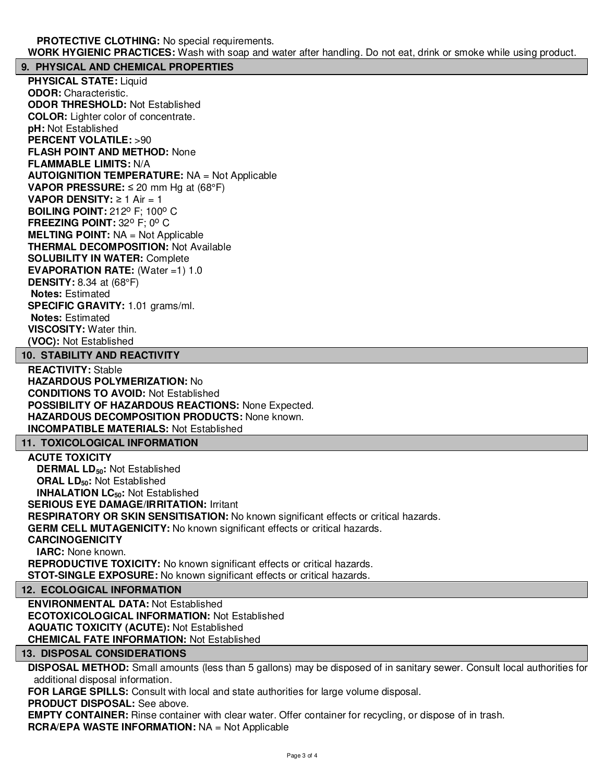**PROTECTIVE CLOTHING:** No special requirements.

**WORK HYGIENIC PRACTICES:** Wash with soap and water after handling. Do not eat, drink or smoke while using product.

#### **9. PHYSICAL AND CHEMICAL PROPERTIES**

**PHYSICAL STATE: Liquid ODOR:** Characteristic. **ODOR THRESHOLD:** Not Established **COLOR:** Lighter color of concentrate. **pH:** Not Established **PERCENT VOLATILE:** >90 **FLASH POINT AND METHOD:** None **FLAMMABLE LIMITS:** N/A **AUTOIGNITION TEMPERATURE:** NA = Not Applicable **VAPOR PRESSURE:**  $\leq$  20 mm Hg at (68°F) **VAPOR DENSITY:** ≥ 1 Air = 1 **BOILING POINT: 212° F: 100° C FREEZING POINT: 32° F; 0° C MELTING POINT:** NA = Not Applicable **THERMAL DECOMPOSITION:** Not Available **SOLUBILITY IN WATER:** Complete **EVAPORATION RATE:** (Water =1) 1.0 **DENSITY:** 8.34 at (68°F) **Notes:** Estimated **SPECIFIC GRAVITY:** 1.01 grams/ml. **Notes:** Estimated **VISCOSITY:** Water thin. **(VOC):** Not Established

#### **10. STABILITY AND REACTIVITY**

**REACTIVITY:** Stable **HAZARDOUS POLYMERIZATION:** No **CONDITIONS TO AVOID:** Not Established **POSSIBILITY OF HAZARDOUS REACTIONS:** None Expected. **HAZARDOUS DECOMPOSITION PRODUCTS:** None known. **INCOMPATIBLE MATERIALS:** Not Established

#### **11. TOXICOLOGICAL INFORMATION**

#### **ACUTE TOXICITY**

**DERMAL LD50:** Not Established **ORAL LD50:** Not Established **INHALATION LC50:** Not Established **SERIOUS EYE DAMAGE/IRRITATION: Irritant RESPIRATORY OR SKIN SENSITISATION:** No known significant effects or critical hazards. **GERM CELL MUTAGENICITY:** No known significant effects or critical hazards. **CARCINOGENICITY**

**IARC:** None known.

**REPRODUCTIVE TOXICITY:** No known significant effects or critical hazards.

**STOT-SINGLE EXPOSURE:** No known significant effects or critical hazards.

#### **12. ECOLOGICAL INFORMATION**

**ENVIRONMENTAL DATA:** Not Established **ECOTOXICOLOGICAL INFORMATION:** Not Established **AQUATIC TOXICITY (ACUTE):** Not Established **CHEMICAL FATE INFORMATION:** Not Established

#### **13. DISPOSAL CONSIDERATIONS**

**DISPOSAL METHOD:** Small amounts (less than 5 gallons) may be disposed of in sanitary sewer. Consult local authorities for additional disposal information.

**FOR LARGE SPILLS:** Consult with local and state authorities for large volume disposal.

**PRODUCT DISPOSAL:** See above.

**EMPTY CONTAINER:** Rinse container with clear water. Offer container for recycling, or dispose of in trash. **RCRA/EPA WASTE INFORMATION:** NA = Not Applicable